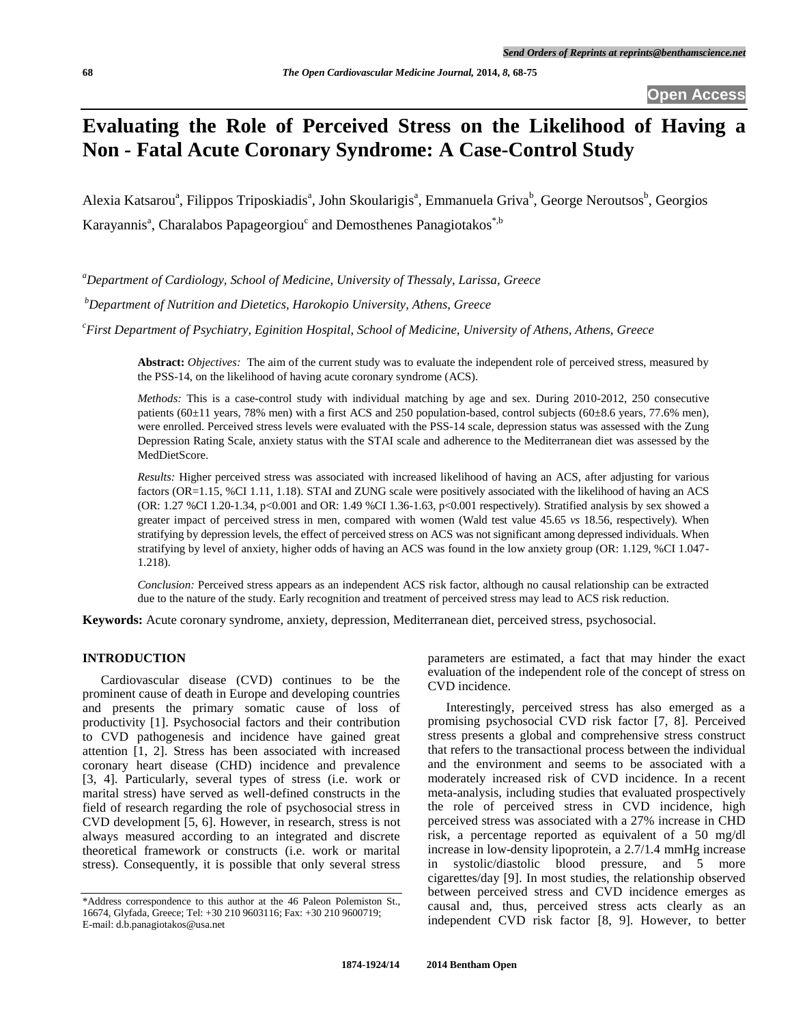# **Evaluating the Role of Perceived Stress on the Likelihood of Having a Non** *-* **Fatal Acute Coronary Syndrome: A Case-Control Study**

Alexia Katsarou<sup>a</sup>, Filippos Triposkiadis<sup>a</sup>, John Skoularigis<sup>a</sup>, Emmanuela Griva<sup>b</sup>, George Neroutsos<sup>b</sup>, Georgios Karayannis<sup>a</sup>, Charalabos Papageorgiou<sup>c</sup> and Demosthenes Panagiotakos<sup>\*,b</sup>

*<sup>a</sup>Department of Cardiology, School of Medicine, University of Thessaly, Larissa, Greece*

*<sup>b</sup>Department of Nutrition and Dietetics, Harokopio University, Athens, Greece*

*<sup>c</sup>First Department of Psychiatry, Eginition Hospital, School of Medicine, University of Athens, Athens, Greece*

**Abstract:** *Objectives:* The aim of the current study was to evaluate the independent role of perceived stress, measured by the PSS-14, on the likelihood of having acute coronary syndrome (ACS).

*Methods:* This is a case-control study with individual matching by age and sex. During 2010-2012, 250 consecutive patients  $(60\pm11)$  years, 78% men) with a first ACS and 250 population-based, control subjects  $(60\pm8.6)$  years, 77.6% men), were enrolled. Perceived stress levels were evaluated with the PSS-14 scale, depression status was assessed with the Zung Depression Rating Scale, anxiety status with the STAI scale and adherence to the Mediterranean diet was assessed by the MedDietScore.

*Results:* Higher perceived stress was associated with increased likelihood of having an ACS, after adjusting for various factors (OR=1.15, %CI 1.11, 1.18). STAI and ZUNG scale were positively associated with the likelihood of having an ACS (OR: 1.27 %CI 1.20-1.34, p<0.001 and OR: 1.49 %CI 1.36-1.63, p<0.001 respectively). Stratified analysis by sex showed a greater impact of perceived stress in men, compared with women (Wald test value 45.65 *vs* 18.56, respectively). When stratifying by depression levels, the effect of perceived stress on ACS was not significant among depressed individuals. When stratifying by level of anxiety, higher odds of having an ACS was found in the low anxiety group (OR: 1.129, %CI 1.047- 1.218).

*Conclusion:* Perceived stress appears as an independent ACS risk factor, although no causal relationship can be extracted due to the nature of the study. Early recognition and treatment of perceived stress may lead to ACS risk reduction.

**Keywords:** Acute coronary syndrome, anxiety, depression, Mediterranean diet, perceived stress, psychosocial.

# **INTRODUCTION**

Cardiovascular disease (CVD) continues to be the prominent cause of death in Europe and developing countries and presents the primary somatic cause of loss of productivity [1]. Psychosocial factors and their contribution to CVD pathogenesis and incidence have gained great attention [1, 2]. Stress has been associated with increased coronary heart disease (CHD) incidence and prevalence [3, 4]. Particularly, several types of stress (i.e. work or marital stress) have served as well-defined constructs in the field of research regarding the role of psychosocial stress in CVD development [5, 6]. However, in research, stress is not always measured according to an integrated and discrete theoretical framework or constructs (i.e. work or marital stress). Consequently, it is possible that only several stress

parameters are estimated, a fact that may hinder the exact evaluation of the independent role of the concept of stress on CVD incidence.

Interestingly, perceived stress has also emerged as a promising psychosocial CVD risk factor [7, 8]. Perceived stress presents a global and comprehensive stress construct that refers to the transactional process between the individual and the environment and seems to be associated with a moderately increased risk of CVD incidence. In a recent meta-analysis, including studies that evaluated prospectively the role of perceived stress in CVD incidence, high perceived stress was associated with a 27% increase in CHD risk, a percentage reported as equivalent of a 50 mg/dl increase in low-density lipoprotein, a 2.7/1.4 mmHg increase in systolic/diastolic blood pressure, and 5 more cigarettes/day [9]. In most studies, the relationship observed between perceived stress and CVD incidence emerges as causal and, thus, perceived stress acts clearly as an independent CVD risk factor [8, 9]. However, to better

<sup>\*</sup>Address correspondence to this author at the 46 Paleon Polemiston St., 16674, Glyfada, Greece; Tel: +30 210 9603116; Fax: +30 210 9600719; E-mail: d.b.panagiotakos@usa.net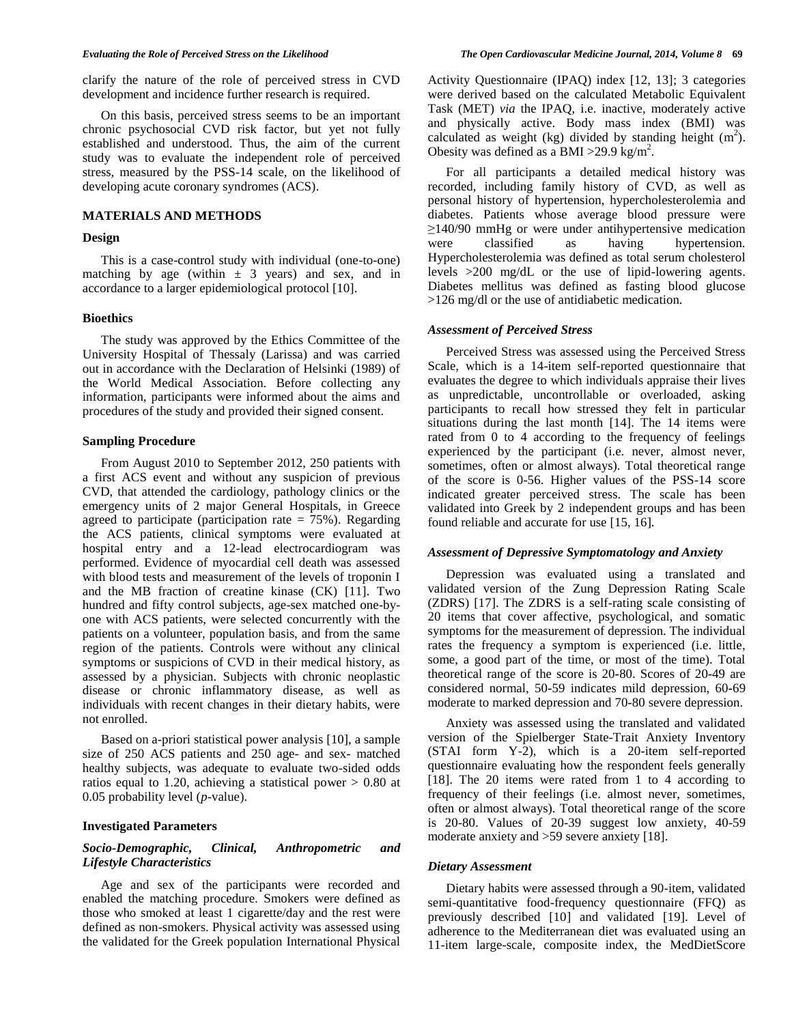clarify the nature of the role of perceived stress in CVD development and incidence further research is required.

On this basis, perceived stress seems to be an important chronic psychosocial CVD risk factor, but yet not fully established and understood. Thus, the aim of the current study was to evaluate the independent role of perceived stress, measured by the PSS-14 scale, on the likelihood of developing acute coronary syndromes (ACS).

# **MATERIALS AND METHODS**

#### **Design**

This is a case-control study with individual (one-to-one) matching by age (within  $\pm$  3 years) and sex, and in accordance to a larger epidemiological protocol [10].

#### **Bioethics**

The study was approved by the Ethics Committee of the University Hospital of Thessaly (Larissa) and was carried out in accordance with the Declaration of Helsinki (1989) of the World Medical Association. Before collecting any information, participants were informed about the aims and procedures of the study and provided their signed consent.

#### **Sampling Procedure**

From August 2010 to September 2012, 250 patients with a first ACS event and without any suspicion of previous CVD, that attended the cardiology, pathology clinics or the emergency units of 2 major General Hospitals, in Greece agreed to participate (participation rate  $= 75\%$ ). Regarding the ACS patients, clinical symptoms were evaluated at hospital entry and a 12-lead electrocardiogram was performed. Evidence of myocardial cell death was assessed with blood tests and measurement of the levels of troponin I and the MB fraction of creatine kinase (CK) [11]. Two hundred and fifty control subjects, age-sex matched one-byone with ACS patients, were selected concurrently with the patients on a volunteer, population basis, and from the same region of the patients. Controls were without any clinical symptoms or suspicions of CVD in their medical history, as assessed by a physician. Subjects with chronic neoplastic disease or chronic inflammatory disease, as well as individuals with recent changes in their dietary habits, were not enrolled.

Based on a-priori statistical power analysis [10], a sample size of 250 ACS patients and 250 age- and sex- matched healthy subjects, was adequate to evaluate two-sided odds ratios equal to 1.20, achieving a statistical power > 0.80 at 0.05 probability level (*p*-value).

### **Investigated Parameters**

### *Socio-Demographic, Clinical, Anthropometric and Lifestyle Characteristics*

Age and sex of the participants were recorded and enabled the matching procedure. Smokers were defined as those who smoked at least 1 cigarette/day and the rest were defined as non-smokers. Physical activity was assessed using the validated for the Greek population International Physical

Activity Questionnaire (IPAQ) index [12, 13]; 3 categories were derived based on the calculated Metabolic Equivalent Task (MET) *via* the IPAQ, i.e. inactive, moderately active and physically active. Body mass index (BMI) was calculated as weight (kg) divided by standing height  $(m<sup>2</sup>)$ . Obesity was defined as a BMI > 29.9 kg/m<sup>2</sup>.

For all participants a detailed medical history was recorded, including family history of CVD, as well as personal history of hypertension, hypercholesterolemia and diabetes. Patients whose average blood pressure were  $\geq$ 140/90 mmHg or were under antihypertensive medication vere classified as having hypertension. hypertension. Hypercholesterolemia was defined as total serum cholesterol levels >200 mg/dL or the use of lipid-lowering agents. Diabetes mellitus was defined as fasting blood glucose >126 mg/dl or the use of antidiabetic medication.

#### *Assessment of Perceived Stress*

Perceived Stress was assessed using the Perceived Stress Scale, which is a 14-item self-reported questionnaire that evaluates the degree to which individuals appraise their lives as unpredictable, uncontrollable or overloaded, asking participants to recall how stressed they felt in particular situations during the last month [14]. The 14 items were rated from 0 to 4 according to the frequency of feelings experienced by the participant (i.e. never, almost never, sometimes, often or almost always). Total theoretical range of the score is 0-56. Higher values of the PSS-14 score indicated greater perceived stress. The scale has been validated into Greek by 2 independent groups and has been found reliable and accurate for use [15, 16].

#### *Assessment of Depressive Symptomatology and Anxiety*

Depression was evaluated using a translated and validated version of the Zung Depression Rating Scale (ZDRS) [17]. The ZDRS is a self-rating scale consisting of 20 items that cover affective, psychological, and somatic symptoms for the measurement of depression. The individual rates the frequency a symptom is experienced (i.e. little, some, a good part of the time, or most of the time). Total theoretical range of the score is 20*-*80. Scores of 20*-*49 are considered normal, 50*-*59 indicates mild depression, 60*-*69 moderate to marked depression and 70*-*80 severe depression.

Anxiety was assessed using the translated and validated version of the Spielberger State-Trait Anxiety Inventory (STAI form Y-2), which is a 20-item self-reported questionnaire evaluating how the respondent feels generally [18]. The 20 items were rated from 1 to 4 according to frequency of their feelings (i.e. almost never, sometimes, often or almost always). Total theoretical range of the score is 20-80. Values of 20-39 suggest low anxiety, 40-59 moderate anxiety and >59 severe anxiety [18].

#### *Dietary Assessment*

Dietary habits were assessed through a 90-item, validated semi-quantitative food-frequency questionnaire (FFQ) as previously described [10] and validated [19]. Level of adherence to the Mediterranean diet was evaluated using an 11-item large-scale, composite index, the MedDietScore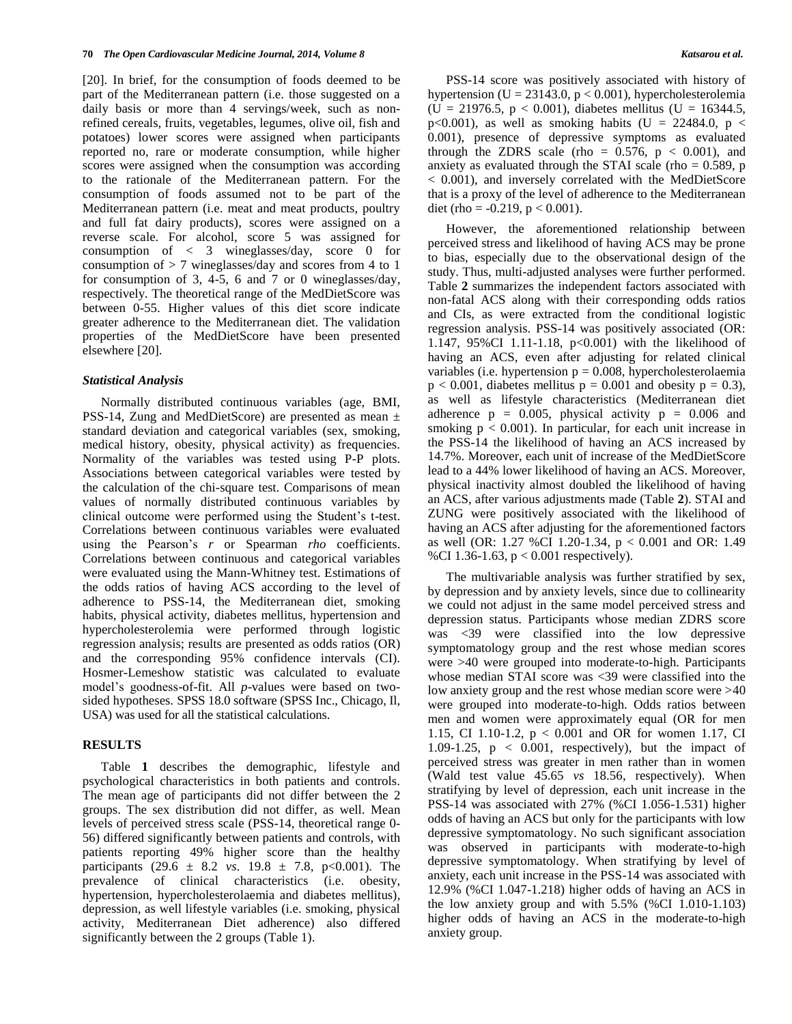[20]. In brief, for the consumption of foods deemed to be part of the Mediterranean pattern (i.e. those suggested on a daily basis or more than 4 servings/week, such as nonrefined cereals, fruits, vegetables, legumes, olive oil, fish and potatoes) lower scores were assigned when participants reported no, rare or moderate consumption, while higher scores were assigned when the consumption was according to the rationale of the Mediterranean pattern. For the consumption of foods assumed not to be part of the Mediterranean pattern (i.e. meat and meat products, poultry and full fat dairy products), scores were assigned on a reverse scale. For alcohol, score 5 was assigned for consumption of < 3 wineglasses/day, score 0 for consumption of  $> 7$  wineglasses/day and scores from 4 to 1 for consumption of 3, 4-5, 6 and 7 or 0 wineglasses/day, respectively. The theoretical range of the MedDietScore was between 0*-*55. Higher values of this diet score indicate greater adherence to the Mediterranean diet. The validation properties of the MedDietScore have been presented elsewhere [20].

#### *Statistical Analysis*

Normally distributed continuous variables (age, BMI, PSS-14, Zung and MedDietScore) are presented as mean ± standard deviation and categorical variables (sex, smoking, medical history, obesity, physical activity) as frequencies. Normality of the variables was tested using P-P plots. Associations between categorical variables were tested by the calculation of the chi-square test. Comparisons of mean values of normally distributed continuous variables by clinical outcome were performed using the Student's t-test. Correlations between continuous variables were evaluated using the Pearson's *r* or Spearman *rho* coefficients. Correlations between continuous and categorical variables were evaluated using the Mann-Whitney test. Estimations of the odds ratios of having ACS according to the level of adherence to PSS-14, the Mediterranean diet, smoking habits, physical activity, diabetes mellitus, hypertension and hypercholesterolemia were performed through logistic regression analysis; results are presented as odds ratios (OR) and the corresponding 95% confidence intervals (CI). Hosmer-Lemeshow statistic was calculated to evaluate model's goodness-of-fit. All *p*-values were based on twosided hypotheses. SPSS 18.0 software (SPSS Inc., Chicago, Il, USA) was used for all the statistical calculations.

#### **RESULTS**

Table **1** describes the demographic, lifestyle and psychological characteristics in both patients and controls. The mean age of participants did not differ between the 2 groups. The sex distribution did not differ, as well. Mean levels of perceived stress scale (PSS-14, theoretical range 0- 56) differed significantly between patients and controls, with patients reporting 49% higher score than the healthy participants (29.6  $\pm$  8.2 *vs*. 19.8  $\pm$  7.8, p<0.001). The prevalence of clinical characteristics (i.e. obesity, hypertension, hypercholesterolaemia and diabetes mellitus), depression, as well lifestyle variables (i.e. smoking, physical activity, Mediterranean Diet adherence) also differed significantly between the 2 groups (Table 1).

PSS-14 score was positively associated with history of hypertension (U = 23143.0,  $p < 0.001$ ), hypercholesterolemia  $(U = 21976.5, p < 0.001)$ , diabetes mellitus  $(U = 16344.5,$ p<0.001), as well as smoking habits (U = 22484.0, p < 0.001), presence of depressive symptoms as evaluated through the ZDRS scale (rho =  $0.576$ , p < 0.001), and anxiety as evaluated through the STAI scale (rho  $= 0.589$ , p < 0.001), and inversely correlated with the MedDietScore that is a proxy of the level of adherence to the Mediterranean diet (rho =  $-0.219$ , p < 0.001).

However, the aforementioned relationship between perceived stress and likelihood of having ACS may be prone to bias, especially due to the observational design of the study. Thus, multi-adjusted analyses were further performed. Table **2** summarizes the independent factors associated with non-fatal ACS along with their corresponding odds ratios and CIs, as were extracted from the conditional logistic regression analysis. PSS-14 was positively associated (OR: 1.147, 95%CI 1.11-1.18, p<0.001) with the likelihood of having an ACS, even after adjusting for related clinical variables (i.e. hypertension  $p = 0.008$ , hypercholesterolaemia  $p < 0.001$ , diabetes mellitus  $p = 0.001$  and obesity  $p = 0.3$ ), as well as lifestyle characteristics (Mediterranean diet adherence  $p = 0.005$ , physical activity  $p = 0.006$  and smoking  $p < 0.001$ ). In particular, for each unit increase in the PSS-14 the likelihood of having an ACS increased by 14.7%. Moreover, each unit of increase of the MedDietScore lead to a 44% lower likelihood of having an ACS. Moreover, physical inactivity almost doubled the likelihood of having an ACS, after various adjustments made (Table **2**). STAI and ZUNG were positively associated with the likelihood of having an ACS after adjusting for the aforementioned factors as well (OR: 1.27 %CI 1.20-1.34, p < 0.001 and OR: 1.49 %CI 1.36-1.63, p < 0.001 respectively).

The multivariable analysis was further stratified by sex, by depression and by anxiety levels, since due to collinearity we could not adjust in the same model perceived stress and depression status. Participants whose median ZDRS score was <39 were classified into the low depressive symptomatology group and the rest whose median scores were >40 were grouped into moderate-to-high. Participants whose median STAI score was <39 were classified into the low anxiety group and the rest whose median score were >40 were grouped into moderate-to-high. Odds ratios between men and women were approximately equal (OR for men 1.15, CI 1.10-1.2, p < 0.001 and OR for women 1.17, CI 1.09-1.25,  $p \le 0.001$ , respectively), but the impact of perceived stress was greater in men rather than in women (Wald test value 45.65 *vs* 18.56, respectively). When stratifying by level of depression, each unit increase in the PSS-14 was associated with 27% (%CI 1.056-1.531) higher odds of having an ACS but only for the participants with low depressive symptomatology. No such significant association was observed in participants with moderate-to-high depressive symptomatology. When stratifying by level of anxiety, each unit increase in the PSS-14 was associated with 12.9% (%CI 1.047-1.218) higher odds of having an ACS in the low anxiety group and with 5.5% (%CI 1.010-1.103) higher odds of having an ACS in the moderate-to-high anxiety group.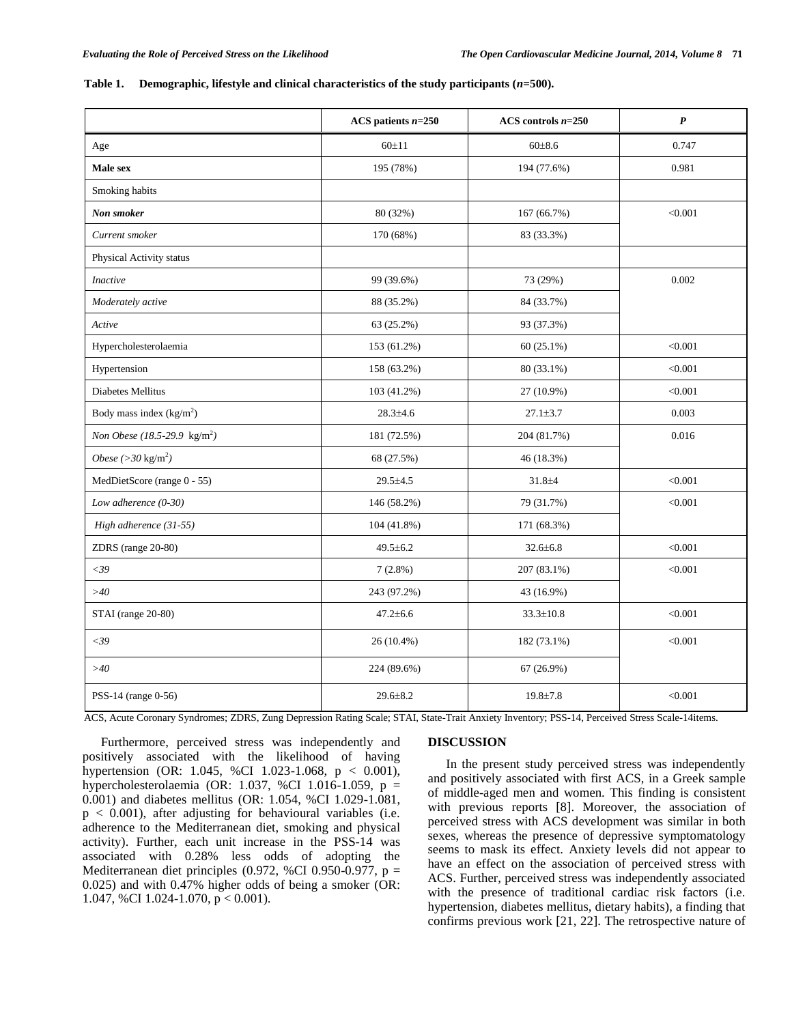#### Table 1. Demographic, lifestyle and clinical characteristics of the study participants ( $n=500$ ).

|                                          | ACS patients $n=250$ | ACS controls $n=250$ | $\boldsymbol{P}$ |
|------------------------------------------|----------------------|----------------------|------------------|
| Age                                      | 60±11                | 60±8.6               | 0.747            |
| Male sex                                 | 195 (78%)            | 194 (77.6%)          | 0.981            |
| Smoking habits                           |                      |                      |                  |
| Non smoker                               | 80 (32%)             | 167 (66.7%)          | < 0.001          |
| Current smoker                           | 170 (68%)            | 83 (33.3%)           |                  |
| Physical Activity status                 |                      |                      |                  |
| <b>Inactive</b>                          | 99 (39.6%)           | 73 (29%)             | 0.002            |
| Moderately active                        | 88 (35.2%)           | 84 (33.7%)           |                  |
| Active                                   | 63 (25.2%)           | 93 (37.3%)           |                  |
| Hypercholesterolaemia                    | 153 (61.2%)          | $60(25.1\%)$         | < 0.001          |
| Hypertension                             | 158 (63.2%)          | 80 (33.1%)           | < 0.001          |
| Diabetes Mellitus                        | 103 (41.2%)          | 27 (10.9%)           | < 0.001          |
| Body mass index $(kg/m2)$                | $28.3 \pm 4.6$       | $27.1 \pm 3.7$       | 0.003            |
| Non Obese (18.5-29.9 kg/m <sup>2</sup> ) | 181 (72.5%)          | 204 (81.7%)          | 0.016            |
| Obese $(>30\ \mathrm{kg/m^2})$           | 68 (27.5%)           | 46 (18.3%)           |                  |
| MedDietScore (range 0 - 55)              | $29.5 \pm 4.5$       | $31.8 + 4$           | < 0.001          |
| Low adherence $(0-30)$                   | 146 (58.2%)          | 79 (31.7%)           | < 0.001          |
| High adherence (31-55)                   | 104 (41.8%)          | 171 (68.3%)          |                  |
| ZDRS (range 20-80)                       | $49.5 \pm 6.2$       | $32.6 \pm 6.8$       | < 0.001          |
| $<$ 39                                   | $7(2.8\%)$           | 207 (83.1%)          | < 0.001          |
| >40                                      | 243 (97.2%)          | 43 (16.9%)           |                  |
| STAI (range 20-80)                       | $47.2 \pm 6.6$       | $33.3 \pm 10.8$      | < 0.001          |
| $<$ 39                                   | 26 (10.4%)           | 182 (73.1%)          | < 0.001          |
| >40                                      | 224 (89.6%)          | $67(26.9\%)$         |                  |
| PSS-14 (range 0-56)                      | 29.6±8.2             | $19.8 \pm 7.8$       | < 0.001          |

ACS, Acute Coronary Syndromes; ZDRS, Zung Depression Rating Scale; STAI, State-Trait Anxiety Inventory; PSS-14, Perceived Stress Scale-14items.

Furthermore, perceived stress was independently and positively associated with the likelihood of having hypertension (OR: 1.045, %CI 1.023-1.068, p < 0.001), hypercholesterolaemia (OR: 1.037, %CI 1.016-1.059, p = 0.001) and diabetes mellitus (OR: 1.054, %CI 1.029-1.081,  $p < 0.001$ ), after adjusting for behavioural variables (i.e. adherence to the Mediterranean diet, smoking and physical activity). Further, each unit increase in the PSS-14 was associated with 0.28% less odds of adopting the Mediterranean diet principles (0.972, %CI 0.950-0.977,  $p =$ 0.025) and with 0.47% higher odds of being a smoker (OR: 1.047, %CI 1.024-1.070, p < 0.001).

#### **DISCUSSION**

In the present study perceived stress was independently and positively associated with first ACS, in a Greek sample of middle-aged men and women. This finding is consistent with previous reports [8]. Moreover, the association of perceived stress with ACS development was similar in both sexes, whereas the presence of depressive symptomatology seems to mask its effect. Anxiety levels did not appear to have an effect on the association of perceived stress with ACS. Further, perceived stress was independently associated with the presence of traditional cardiac risk factors (i.e. hypertension, diabetes mellitus, dietary habits), a finding that confirms previous work [21, 22]. The retrospective nature of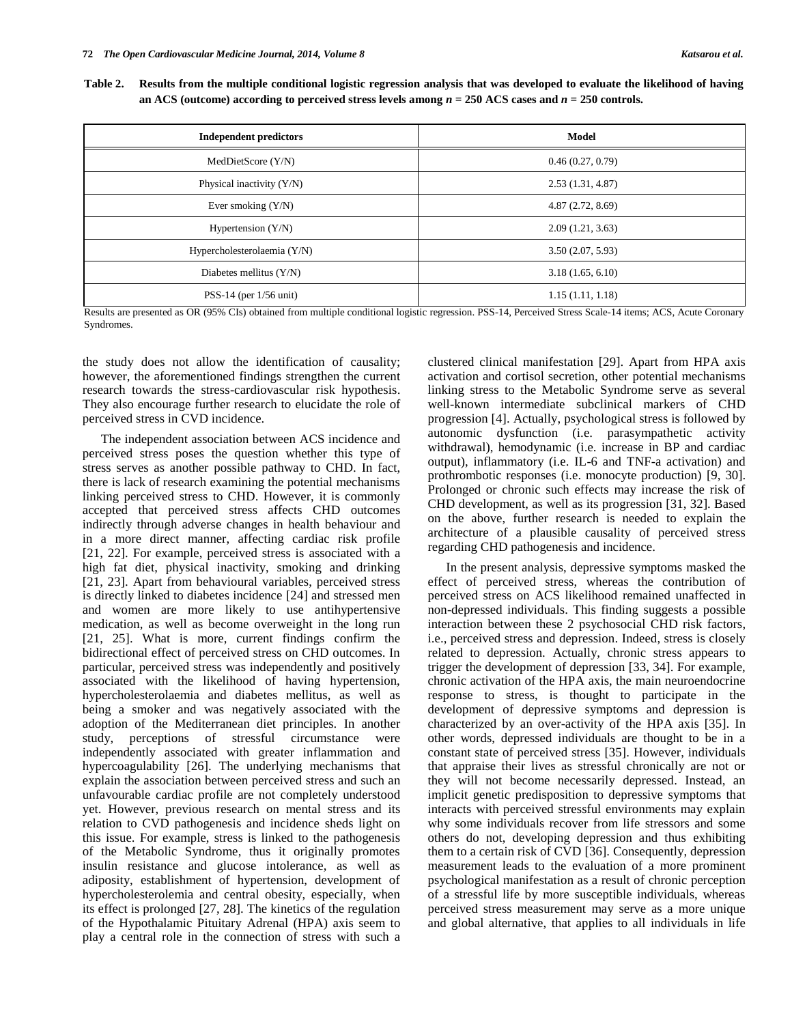**Table 2. Results from the multiple conditional logistic regression analysis that was developed to evaluate the likelihood of having an ACS (outcome) according to perceived stress levels among**  $n = 250$  **ACS cases and**  $n = 250$  **controls.** 

| <b>Independent predictors</b> | <b>Model</b>     |
|-------------------------------|------------------|
| MedDietScore (Y/N)            | 0.46(0.27, 0.79) |
| Physical inactivity $(Y/N)$   | 2.53(1.31, 4.87) |
| Ever smoking $(Y/N)$          | 4.87(2.72, 8.69) |
| Hypertension $(Y/N)$          | 2.09(1.21, 3.63) |
| Hypercholesterolaemia (Y/N)   | 3.50(2.07, 5.93) |
| Diabetes mellitus $(Y/N)$     | 3.18(1.65, 6.10) |
| PSS-14 (per $1/56$ unit)      | 1.15(1.11, 1.18) |

Results are presented as OR (95% CIs) obtained from multiple conditional logistic regression. PSS-14, Perceived Stress Scale-14 items; ACS, Acute Coronary Syndromes.

the study does not allow the identification of causality; however, the aforementioned findings strengthen the current research towards the stress-cardiovascular risk hypothesis. They also encourage further research to elucidate the role of perceived stress in CVD incidence.

The independent association between ACS incidence and perceived stress poses the question whether this type of stress serves as another possible pathway to CHD. In fact, there is lack of research examining the potential mechanisms linking perceived stress to CHD. However, it is commonly accepted that perceived stress affects CHD outcomes indirectly through adverse changes in health behaviour and in a more direct manner, affecting cardiac risk profile [21, 22]. For example, perceived stress is associated with a high fat diet, physical inactivity, smoking and drinking [21, 23]. Apart from behavioural variables, perceived stress is directly linked to diabetes incidence [24] and stressed men and women are more likely to use antihypertensive medication, as well as become overweight in the long run [21, 25]. What is more, current findings confirm the bidirectional effect of perceived stress on CHD outcomes. In particular, perceived stress was independently and positively associated with the likelihood of having hypertension, hypercholesterolaemia and diabetes mellitus, as well as being a smoker and was negatively associated with the adoption of the Mediterranean diet principles. In another study, perceptions of stressful circumstance were independently associated with greater inflammation and hypercoagulability [26]. The underlying mechanisms that explain the association between perceived stress and such an unfavourable cardiac profile are not completely understood yet. However, previous research on mental stress and its relation to CVD pathogenesis and incidence sheds light on this issue. For example, stress is linked to the pathogenesis of the Metabolic Syndrome, thus it originally promotes insulin resistance and glucose intolerance, as well as adiposity, establishment of hypertension, development of hypercholesterolemia and central obesity, especially, when its effect is prolonged [27, 28]. The kinetics of the regulation of the Hypothalamic Pituitary Adrenal (HPA) axis seem to play a central role in the connection of stress with such a

clustered clinical manifestation [29]. Apart from HPA axis activation and cortisol secretion, other potential mechanisms linking stress to the Metabolic Syndrome serve as several well-known intermediate subclinical markers of CHD progression [4]. Actually, psychological stress is followed by autonomic dysfunction (i.e. parasympathetic activity withdrawal), hemodynamic (i.e. increase in BP and cardiac output), inflammatory (i.e. IL-6 and TNF-a activation) and prothrombotic responses (i.e. monocyte production) [9, 30]. Prolonged or chronic such effects may increase the risk of CHD development, as well as its progression [31, 32]. Based on the above, further research is needed to explain the architecture of a plausible causality of perceived stress regarding CHD pathogenesis and incidence.

In the present analysis, depressive symptoms masked the effect of perceived stress, whereas the contribution of perceived stress on ACS likelihood remained unaffected in non-depressed individuals. This finding suggests a possible interaction between these 2 psychosocial CHD risk factors, i.e., perceived stress and depression. Indeed, stress is closely related to depression. Actually, chronic stress appears to trigger the development of depression [33, 34]. For example, chronic activation of the HPA axis, the main neuroendocrine response to stress, is thought to participate in the development of depressive symptoms and depression is characterized by an over-activity of the HPA axis [35]. In other words, depressed individuals are thought to be in a constant state of perceived stress [35]. However, individuals that appraise their lives as stressful chronically are not or they will not become necessarily depressed. Instead, an implicit genetic predisposition to depressive symptoms that interacts with perceived stressful environments may explain why some individuals recover from life stressors and some others do not, developing depression and thus exhibiting them to a certain risk of CVD [36]. Consequently, depression measurement leads to the evaluation of a more prominent psychological manifestation as a result of chronic perception of a stressful life by more susceptible individuals, whereas perceived stress measurement may serve as a more unique and global alternative, that applies to all individuals in life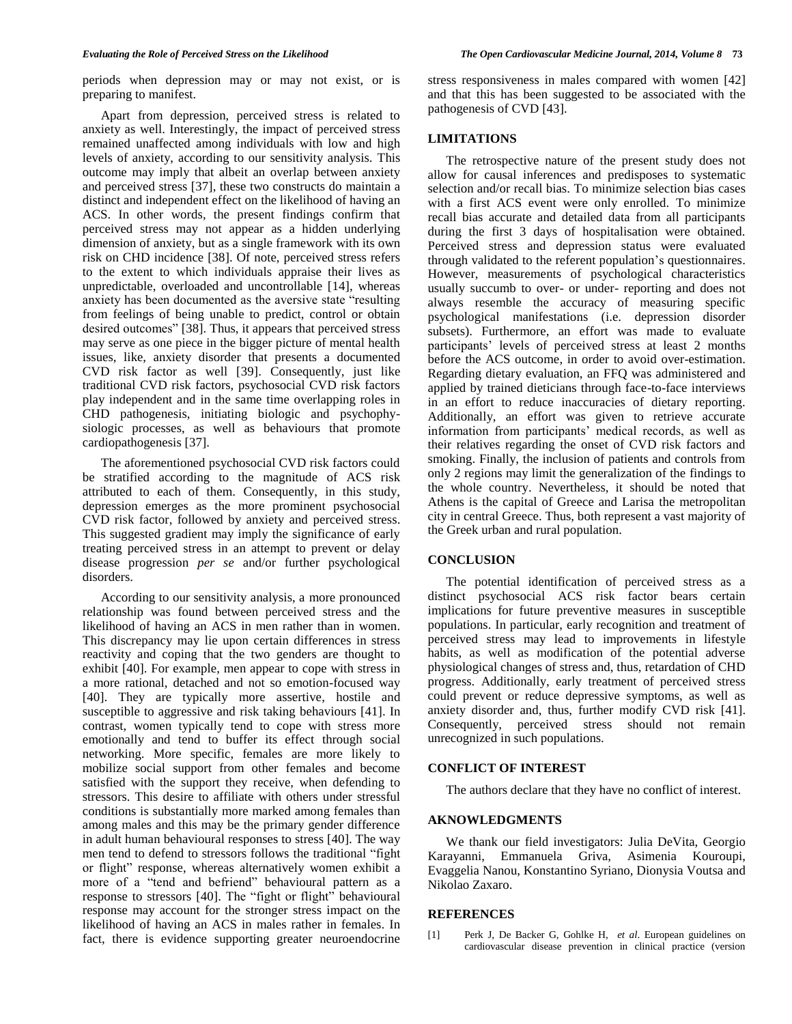periods when depression may or may not exist, or is preparing to manifest.

Apart from depression, perceived stress is related to anxiety as well. Interestingly, the impact of perceived stress remained unaffected among individuals with low and high levels of anxiety, according to our sensitivity analysis. This outcome may imply that albeit an overlap between anxiety and perceived stress [37], these two constructs do maintain a distinct and independent effect on the likelihood of having an ACS. In other words, the present findings confirm that perceived stress may not appear as a hidden underlying dimension of anxiety, but as a single framework with its own risk on CHD incidence [38]. Of note, perceived stress refers to the extent to which individuals appraise their lives as unpredictable, overloaded and uncontrollable [14], whereas anxiety has been documented as the aversive state "resulting from feelings of being unable to predict, control or obtain desired outcomes" [38]. Thus, it appears that perceived stress may serve as one piece in the bigger picture of mental health issues, like, anxiety disorder that presents a documented CVD risk factor as well [39]. Consequently, just like traditional CVD risk factors, psychosocial CVD risk factors play independent and in the same time overlapping roles in CHD pathogenesis, initiating biologic and psychophysiologic processes, as well as behaviours that promote cardiopathogenesis [37].

The aforementioned psychosocial CVD risk factors could be stratified according to the magnitude of ACS risk attributed to each of them. Consequently, in this study, depression emerges as the more prominent psychosocial CVD risk factor, followed by anxiety and perceived stress. This suggested gradient may imply the significance of early treating perceived stress in an attempt to prevent or delay disease progression *per se* and/or further psychological disorders.

According to our sensitivity analysis, a more pronounced relationship was found between perceived stress and the likelihood of having an ACS in men rather than in women. This discrepancy may lie upon certain differences in stress reactivity and coping that the two genders are thought to exhibit [40]. For example, men appear to cope with stress in a more rational, detached and not so emotion-focused way [40]. They are typically more assertive, hostile and susceptible to aggressive and risk taking behaviours [41]. In contrast, women typically tend to cope with stress more emotionally and tend to buffer its effect through social networking. More specific, females are more likely to mobilize social support from other females and become satisfied with the support they receive, when defending to stressors. This desire to affiliate with others under stressful conditions is substantially more marked among females than among males and this may be the primary gender difference in adult human behavioural responses to stress [40]. The way men tend to defend to stressors follows the traditional "fight or flight" response, whereas alternatively women exhibit a more of a "tend and befriend" behavioural pattern as a response to stressors [40]. The "fight or flight" behavioural response may account for the stronger stress impact on the likelihood of having an ACS in males rather in females. In fact, there is evidence supporting greater neuroendocrine

stress responsiveness in males compared with women [42] and that this has been suggested to be associated with the pathogenesis of CVD [43].

#### **LIMITATIONS**

The retrospective nature of the present study does not allow for causal inferences and predisposes to systematic selection and/or recall bias. To minimize selection bias cases with a first ACS event were only enrolled. To minimize recall bias accurate and detailed data from all participants during the first 3 days of hospitalisation were obtained. Perceived stress and depression status were evaluated through validated to the referent population's questionnaires. However, measurements of psychological characteristics usually succumb to over- or under- reporting and does not always resemble the accuracy of measuring specific psychological manifestations (i.e. depression disorder subsets). Furthermore, an effort was made to evaluate participants' levels of perceived stress at least 2 months before the ACS outcome, in order to avoid over-estimation. Regarding dietary evaluation, an FFQ was administered and applied by trained dieticians through face-to-face interviews in an effort to reduce inaccuracies of dietary reporting. Additionally, an effort was given to retrieve accurate information from participants' medical records, as well as their relatives regarding the onset of CVD risk factors and smoking. Finally, the inclusion of patients and controls from only 2 regions may limit the generalization of the findings to the whole country. Nevertheless, it should be noted that Athens is the capital of Greece and Larisa the metropolitan city in central Greece. Thus, both represent a vast majority of the Greek urban and rural population.

# **CONCLUSION**

The potential identification of perceived stress as a distinct psychosocial ACS risk factor bears certain implications for future preventive measures in susceptible populations. In particular, early recognition and treatment of perceived stress may lead to improvements in lifestyle habits, as well as modification of the potential adverse physiological changes of stress and, thus, retardation of CHD progress. Additionally, early treatment of perceived stress could prevent or reduce depressive symptoms, as well as anxiety disorder and, thus, further modify CVD risk [41]. Consequently, perceived stress should not remain unrecognized in such populations.

#### **CONFLICT OF INTEREST**

The authors declare that they have no conflict of interest.

#### **AKNOWLEDGMENTS**

We thank our field investigators: Julia DeVita, Georgio Karayanni, Emmanuela Griva, Asimenia Kouroupi, Evaggelia Nanou, Konstantino Syriano, Dionysia Voutsa and Nikolao Zaxaro.

#### **REFERENCES**

[1] Perk J, De Backer G, Gohlke H, *et al*. European guidelines on cardiovascular disease prevention in clinical practice (version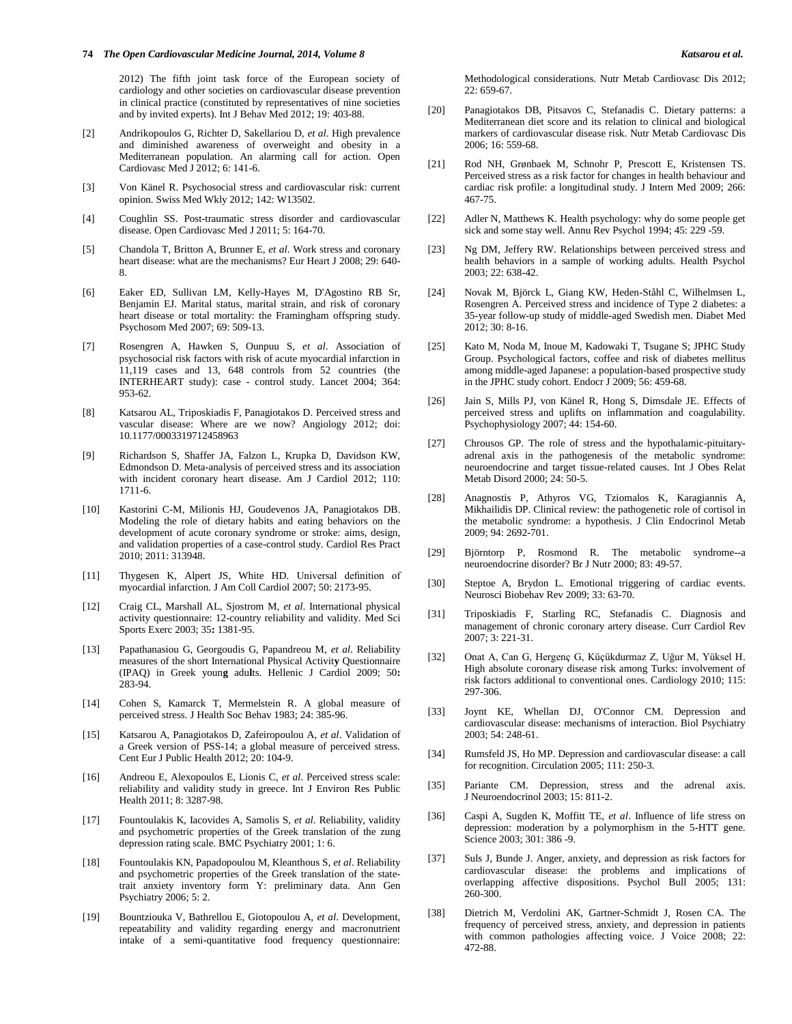#### **74** *The Open Cardiovascular Medicine Journal, 2014, Volume 8 Katsarou et al.*

2012) The fifth joint task force of the European society of cardiology and other societies on cardiovascular disease prevention in clinical practice (constituted by representatives of nine societies and by invited experts). Int J Behav Med 2012; 19: 403-88.

- [2] Andrikopoulos G, Richter D, Sakellariou D, *et al*. High prevalence and diminished awareness of overweight and obesity in a Mediterranean population. An alarming call for action. Open Cardiovasc Med J 2012; 6: 141-6.
- [3] Von Känel R. Psychosocial stress and cardiovascular risk: current opinion. Swiss Med Wkly 2012; 142: W13502.
- [4] Coughlin SS. Post-traumatic stress disorder and cardiovascular disease. Open Cardiovasc Med J 2011; 5: 164*-*70.
- [5] Chandola T, Britton A, Brunner E, *et al*. Work stress and coronary heart disease: what are the mechanisms? Eur Heart J 2008; 29: 640- 8.
- [6] Eaker ED, Sullivan LM, Kelly-Hayes M, D'Agostino RB Sr, Benjamin EJ. Marital status, marital strain, and risk of coronary heart disease or total mortality: the Framingham offspring study. Psychosom Med 2007; 69: 509-13.
- [7] Rosengren A, Hawken S, Ounpuu S, *et al*. Association of psychosocial risk factors with risk of acute myocardial infarction in 11,119 cases and 13, 648 controls from 52 countries (the INTERHEART study): case *-* control study. Lancet 2004; 364: 953-62.
- [8] Katsarou AL, Triposkiadis F, Panagiotakos D. Perceived stress and vascular disease: Where are we now? Angiology 2012; doi: 10.1177/0003319712458963
- [9] Richardson S, Shaffer JA, Falzon L, Krupka D, Davidson KW, Edmondson D. Meta-analysis of perceived stress and its association with incident coronary heart disease. Am J Cardiol 2012; 110: 1711-6.
- [10] Kastorini C-M, Milionis HJ, Goudevenos JA, Panagiotakos DB. Modeling the role of dietary habits and eating behaviors on the development of acute coronary syndrome or stroke: aims, design, and validation properties of a case-control study. Cardiol Res Pract 2010; 2011: 313948.
- [11] Thygesen K, Alpert JS, White HD. Universal definition of myocardial infarction. J Am Coll Cardiol 2007; 50: 2173*-*95.
- [12] Craig CL, Marshall AL, Sjostrom M, *et al*. International physical activity questionnaire: 12-country reliability and validity. Med Sci Sports Exerc 2003; 35**:** 1381-95.
- [13] Papathanasiou G, Georgoudis G, Papandreou M, *et al*. Reliability measures of the short International Physical Activit**y** Questionnaire (IPAQ) in Greek youn**g** adu**l**ts. Hellenic J Cardiol 2009; 50**:** 283-94.
- [14] Cohen S, Kamarck T, Mermelstein R. A global measure of perceived stress. J Health Soc Behav 1983; 24: 385*-*96.
- [15] Katsarou A, Panagiotakos D, Zafeiropoulou A, *et al*. Validation of a Greek version of PSS-14; a global measure of perceived stress. Cent Eur J Public Health 2012; 20: 104-9.
- [16] Andreou E, Alexopoulos E, Lionis C, *et al*. Perceived stress scale: reliability and validity study in greece. Int J Environ Res Public Health 2011; 8: 3287*-*98.
- [17] Fountoulakis K, Iacovides A, Samolis S, *et al*. Reliability, validity and psychometric properties of the Greek translation of the zung depression rating scale. BMC Psychiatry 2001; 1: 6.
- [18] Fountoulakis KN, Papadopoulou M, Kleanthous S, *et al*. Reliability and psychometric properties of the Greek translation of the statetrait anxiety inventory form Y: preliminary data. Ann Gen Psychiatry 2006; 5: 2.
- [19] Bountziouka V, Bathrellou E, Giotopoulou A, *et al*. Development, repeatability and validity regarding energy and macronutrient intake of a semi-quantitative food frequency questionnaire:

Methodological considerations. Nutr Metab Cardiovasc Dis 2012;  $22.659 - 67$ 

- [20] Panagiotakos DB, Pitsavos C, Stefanadis C. Dietary patterns: a Mediterranean diet score and its relation to clinical and biological markers of cardiovascular disease risk. Nutr Metab Cardiovasc Dis 2006; 16: 559-68.
- [21] Rod NH, Grønbaek M, Schnohr P, Prescott E, Kristensen TS. Perceived stress as a risk factor for changes in health behaviour and cardiac risk profile: a longitudinal study. J Intern Med 2009; 266: 467-75.
- [22] Adler N, Matthews K. Health psychology: why do some people get sick and some stay well. Annu Rev Psychol 1994; 45: 229 *-*59.
- [23] Ng DM, Jeffery RW. Relationships between perceived stress and health behaviors in a sample of working adults. Health Psychol 2003; 22: 638-42.
- [24] Novak M, Björck L, Giang KW, Heden-Ståhl C, Wilhelmsen L, Rosengren A. Perceived stress and incidence of Type 2 diabetes: a 35-year follow-up study of middle-aged Swedish men. Diabet Med 2012; 30: 8*-*16.
- [25] Kato M, Noda M, Inoue M, Kadowaki T, Tsugane S; JPHC Study Group. Psychological factors, coffee and risk of diabetes mellitus among middle-aged Japanese: a population-based prospective study in the JPHC study cohort. Endocr J 2009; 56: 459*-*68.
- [26] Jain S, Mills PJ, von Känel R, Hong S, Dimsdale JE. Effects of perceived stress and uplifts on inflammation and coagulability. Psychophysiology 2007; 44: 154-60.
- [27] Chrousos GP. The role of stress and the hypothalamic*-*pituitaryadrenal axis in the pathogenesis of the metabolic syndrome: neuroendocrine and target tissue-related causes. Int J Obes Relat Metab Disord 2000; 24: 50-5.
- [28] Anagnostis P, Athyros VG, Tziomalos K, Karagiannis A, Mikhailidis DP. Clinical review: the pathogenetic role of cortisol in the metabolic syndrome: a hypothesis. J Clin Endocrinol Metab 2009; 94: 2692-701.
- [29] Björntorp P, Rosmond R. The metabolic syndrome--a neuroendocrine disorder? Br J Nutr 2000; 83: 49-57.
- [30] Steptoe A, Brydon L. Emotional triggering of cardiac events. Neurosci Biobehav Rev 2009; 33: 63-70.
- [31] Triposkiadis F, Starling RC, Stefanadis C. Diagnosis and management of chronic coronary artery disease. Curr Cardiol Rev 2007; 3: 221-31.
- [32] Onat A, Can G, Hergenç G, Küçükdurmaz Z, Uğur M, Yüksel H. High absolute coronary disease risk among Turks: involvement of risk factors additional to conventional ones. Cardiology 2010; 115: 297-306.
- [33] Joynt KE, Whellan DJ, O'Connor CM. Depression and cardiovascular disease: mechanisms of interaction. Biol Psychiatry 2003; 54: 248-61.
- [34] Rumsfeld JS, Ho MP. Depression and cardiovascular disease: a call for recognition. Circulation 2005; 111: 250-3.
- [35] Pariante CM. Depression, stress and the adrenal axis. J Neuroendocrinol 2003; 15: 811-2.
- [36] Caspi A, Sugden K, Moffitt TE, *et al*. Influence of life stress on depression: moderation by a polymorphism in the 5-HTT gene. Science 2003; 301: 386 *-*9.
- [37] Suls J, Bunde J. Anger, anxiety, and depression as risk factors for cardiovascular disease: the problems and implications of overlapping affective dispositions. Psychol Bull 2005; 131: 260-300.
- [38] Dietrich M, Verdolini AK, Gartner-Schmidt J, Rosen CA. The frequency of perceived stress, anxiety, and depression in patients with common pathologies affecting voice. J Voice 2008; 22: 472-88.